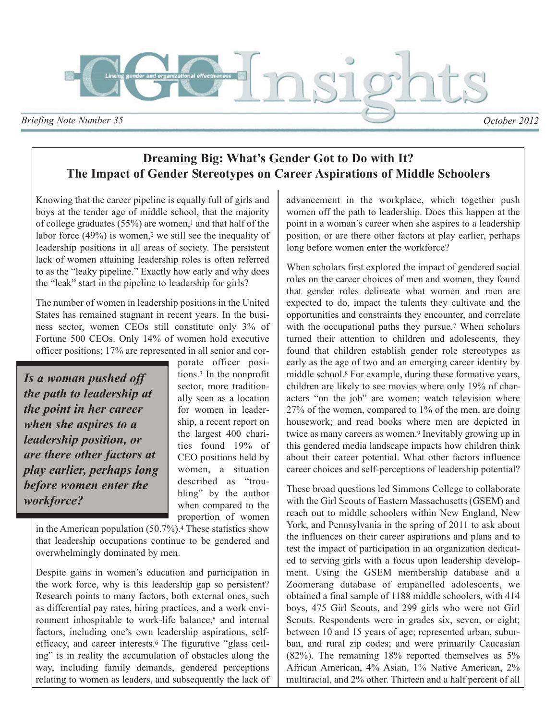

**Dreaming Big: What's Gender Got to Do with It? The Impact of Gender Stereotypes on Career Aspirations of Middle Schoolers**

Knowing that the career pipeline is equally full of girls and boys at the tender age of middle school, that the majority of college graduates (55%) are women,<sup>1</sup> and that half of the labor force  $(49\%)$  is women,<sup>2</sup> we still see the inequality of leadership positions in all areas of society. The persistent lack of women attaining leadership roles is often referred to as the "leaky pipeline." Exactly how early and why does the "leak" start in the pipeline to leadership for girls?

The number of women in leadership positions in the United States has remained stagnant in recent years. In the business sector, women CEOs still constitute only 3% of Fortune 500 CEOs. Only 14% of women hold executive officer positions; 17% are represented in all senior and cor-

*Is a woman pushed off the path to leadership at the point in her career when she aspires to a leadership position, or are there other factors at play earlier, perhaps long before women enter the workforce?*

porate officer positions.<sup>3</sup> In the nonprofit sector, more traditionally seen as a location for women in leadership, a recent report on the largest 400 charities found 19% of CEO positions held by women, a situation described as "troubling" by the author when compared to the proportion of women

in the American population (50.7%).<sup>4</sup> These statistics show that leadership occupations continue to be gendered and overwhelmingly dominated by men.

Despite gains in women's education and participation in the work force, why is this leadership gap so persistent? Research points to many factors, both external ones, such as differential pay rates, hiring practices, and a work environment inhospitable to work-life balance,<sup>5</sup> and internal factors, including one's own leadership aspirations, selfefficacy, and career interests.<sup>6</sup> The figurative "glass ceiling" is in reality the accumulation of obstacles along the way, including family demands, gendered perceptions relating to women as leaders, and subsequently the lack of advancement in the workplace, which together push women off the path to leadership. Does this happen at the point in a woman's career when she aspires to a leadership position, or are there other factors at play earlier, perhaps long before women enter the workforce?

When scholars first explored the impact of gendered social roles on the career choices of men and women, they found that gender roles delineate what women and men are expected to do, impact the talents they cultivate and the opportunities and constraints they encounter, and correlate with the occupational paths they pursue.<sup>7</sup> When scholars turned their attention to children and adolescents, they found that children establish gender role stereotypes as early as the age of two and an emerging career identity by middle school.<sup>8</sup> For example, during these formative years, children are likely to see movies where only 19% of characters "on the job" are women; watch television where 27% of the women, compared to 1% of the men, are doing housework; and read books where men are depicted in twice as many careers as women.<sup>9</sup> Inevitably growing up in this gendered media landscape impacts how children think about their career potential. What other factors influence career choices and self-perceptions of leadership potential?

These broad questions led Simmons College to collaborate with the Girl Scouts of Eastern Massachusetts (GSEM) and reach out to middle schoolers within New England, New York, and Pennsylvania in the spring of 2011 to ask about the influences on their career aspirations and plans and to test the impact of participation in an organization dedicated to serving girls with a focus upon leadership development. Using the GSEM membership database and a Zoomerang database of empanelled adolescents, we obtained a final sample of 1188 middle schoolers, with 414 boys, 475 Girl Scouts, and 299 girls who were not Girl Scouts. Respondents were in grades six, seven, or eight; between 10 and 15 years of age; represented urban, suburban, and rural zip codes; and were primarily Caucasian (82%). The remaining 18% reported themselves as 5% African American, 4% Asian, 1% Native American, 2% multiracial, and 2% other. Thirteen and a half percent of all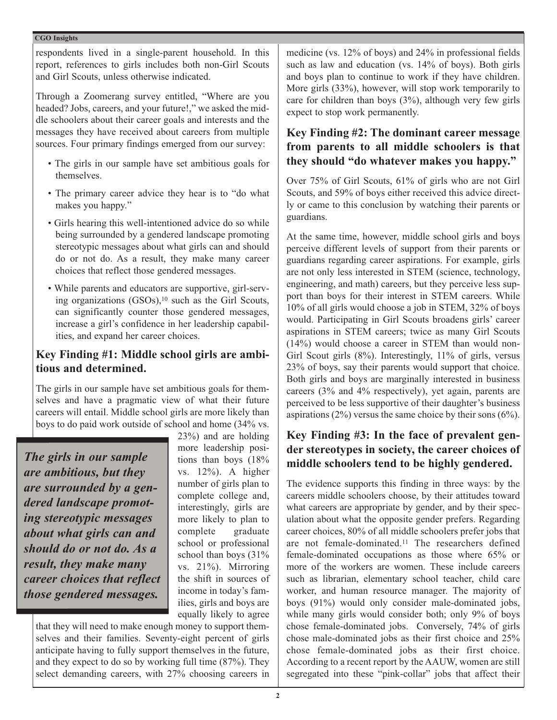### **CGO Insights**

respondents lived in a single-parent household. In this report, references to girls includes both non-Girl Scouts and Girl Scouts, unless otherwise indicated.

Through a Zoomerang survey entitled, "Where are you headed? Jobs, careers, and your future!," we asked the middle schoolers about their career goals and interests and the messages they have received about careers from multiple sources. Four primary findings emerged from our survey:

- The girls in our sample have set ambitious goals for themselves.
- The primary career advice they hear is to "do what makes you happy."
- Girls hearing this well-intentioned advice do so while being surrounded by a gendered landscape promoting stereotypic messages about what girls can and should do or not do. As a result, they make many career choices that reflect those gendered messages.
- While parents and educators are supportive, girl-serving organizations (GSOs),<sup>10</sup> such as the Girl Scouts, can significantly counter those gendered messages, increase a girl's confidence in her leadership capabilities, and expand her career choices.

# **Key Finding #1: Middle school girls are ambitious and determined.**

The girls in our sample have set ambitious goals for themselves and have a pragmatic view of what their future careers will entail. Middle school girls are more likely than boys to do paid work outside of school and home (34% vs.

*The girls in our sample are ambitious, but they are surrounded by a gendered landscape promoting stereotypic messages about what girls can and should do or not do. As a result, they make many career choices that reflect those gendered messages.* 

23%) and are holding more leadership positions than boys (18% vs. 12%). A higher number of girls plan to complete college and, interestingly, girls are more likely to plan to complete graduate school or professional school than boys (31% vs. 21%). Mirroring the shift in sources of income in today's families, girls and boys are equally likely to agree

that they will need to make enough money to support themselves and their families. Seventy-eight percent of girls anticipate having to fully support themselves in the future, and they expect to do so by working full time (87%). They select demanding careers, with 27% choosing careers in medicine (vs. 12% of boys) and 24% in professional fields such as law and education (vs. 14% of boys). Both girls and boys plan to continue to work if they have children. More girls (33%), however, will stop work temporarily to care for children than boys  $(3\%)$ , although very few girls expect to stop work permanently.

# **Key Finding #2: The dominant career message from parents to all middle schoolers is that they should "do whatever makes you happy."**

Over 75% of Girl Scouts, 61% of girls who are not Girl Scouts, and 59% of boys either received this advice directly or came to this conclusion by watching their parents or guardians.

At the same time, however, middle school girls and boys perceive different levels of support from their parents or guardians regarding career aspirations. For example, girls are not only less interested in STEM (science, technology, engineering, and math) careers, but they perceive less support than boys for their interest in STEM careers. While 10% of all girls would choose a job in STEM, 32% of boys would. Participating in Girl Scouts broadens girls' career aspirations in STEM careers; twice as many Girl Scouts (14%) would choose a career in STEM than would non-Girl Scout girls (8%). Interestingly, 11% of girls, versus 23% of boys, say their parents would support that choice. Both girls and boys are marginally interested in business careers (3% and 4% respectively), yet again, parents are perceived to be less supportive of their daughter's business aspirations  $(2\%)$  versus the same choice by their sons  $(6\%)$ .

# **Key Finding #3: In the face of prevalent gender stereotypes in society, the career choices of middle schoolers tend to be highly gendered.**

The evidence supports this finding in three ways: by the careers middle schoolers choose, by their attitudes toward what careers are appropriate by gender, and by their speculation about what the opposite gender prefers. Regarding career choices, 80% of all middle schoolers prefer jobs that are not female-dominated.<sup>11</sup> The researchers defined female-dominated occupations as those where 65% or more of the workers are women. These include careers such as librarian, elementary school teacher, child care worker, and human resource manager. The majority of boys (91%) would only consider male-dominated jobs, while many girls would consider both; only 9% of boys chose female-dominated jobs. Conversely, 74% of girls chose male-dominated jobs as their first choice and 25% chose female-dominated jobs as their first choice. According to a recent report by the AAUW, women are still segregated into these "pink-collar" jobs that affect their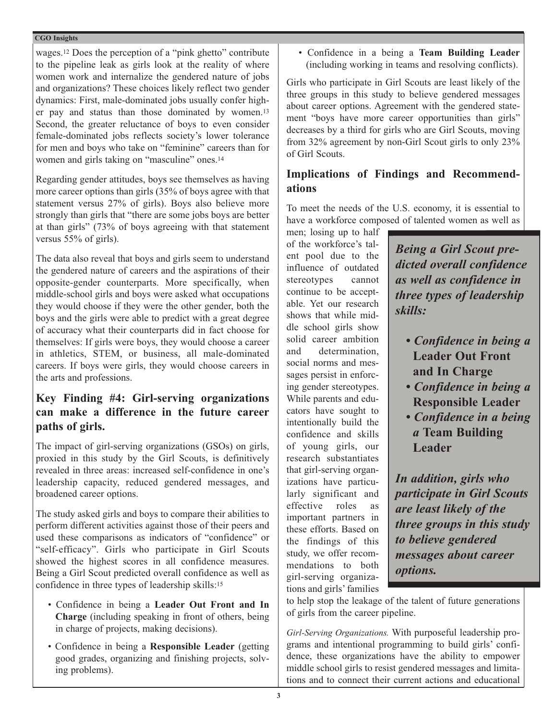### **CGO Insights**

wages.<sup>12</sup> Does the perception of a "pink ghetto" contribute to the pipeline leak as girls look at the reality of where women work and internalize the gendered nature of jobs and organizations? These choices likely reflect two gender dynamics: First, male-dominated jobs usually confer higher pay and status than those dominated by women.<sup>13</sup> Second, the greater reluctance of boys to even consider female-dominated jobs reflects society's lower tolerance for men and boys who take on "feminine" careers than for women and girls taking on "masculine" ones.<sup>14</sup>

Regarding gender attitudes, boys see themselves as having more career options than girls (35% of boys agree with that statement versus 27% of girls). Boys also believe more strongly than girls that "there are some jobs boys are better at than girls" (73% of boys agreeing with that statement versus 55% of girls).

The data also reveal that boys and girls seem to understand the gendered nature of careers and the aspirations of their opposite-gender counterparts. More specifically, when middle-school girls and boys were asked what occupations they would choose if they were the other gender, both the boys and the girls were able to predict with a great degree of accuracy what their counterparts did in fact choose for themselves: If girls were boys, they would choose a career in athletics, STEM, or business, all male-dominated careers. If boys were girls, they would choose careers in the arts and professions.

# **Key Finding #4: Girl-serving organizations can make a difference in the future career paths of girls.**

The impact of girl-serving organizations (GSOs) on girls, proxied in this study by the Girl Scouts, is definitively revealed in three areas: increased self-confidence in one's leadership capacity, reduced gendered messages, and broadened career options.

The study asked girls and boys to compare their abilities to perform different activities against those of their peers and used these comparisons as indicators of "confidence" or "self-efficacy". Girls who participate in Girl Scouts showed the highest scores in all confidence measures. Being a Girl Scout predicted overall confidence as well as confidence in three types of leadership skills:<sup>15</sup>

- Confidence in being a **Leader Out Front and In Charge** (including speaking in front of others, being in charge of projects, making decisions).
- Confidence in being a **Responsible Leader** (getting good grades, organizing and finishing projects, solving problems).

• Confidence in a being a **Team Building Leader** (including working in teams and resolving conflicts).

Girls who participate in Girl Scouts are least likely of the three groups in this study to believe gendered messages about career options. Agreement with the gendered statement "boys have more career opportunities than girls" decreases by a third for girls who are Girl Scouts, moving from 32% agreement by non-Girl Scout girls to only 23% of Girl Scouts.

# **Implications of Findings and Recommendations**

To meet the needs of the U.S. economy, it is essential to have a workforce composed of talented women as well as

men; losing up to half of the workforce's talent pool due to the influence of outdated stereotypes cannot continue to be acceptable. Yet our research shows that while middle school girls show solid career ambition and determination, social norms and messages persist in enforcing gender stereotypes. While parents and educators have sought to intentionally build the confidence and skills of young girls, our research substantiates that girl-serving organizations have particularly significant and effective roles as important partners in these efforts. Based on the findings of this study, we offer recommendations to both girl-serving organizations and girls' families

*Being a Girl Scout predicted overall confidence as well as confidence in three types of leadership skills:*

- *Confidence in being a*  **Leader Out Front and In Charge**
- *Confidence in being a*  **Responsible Leader**
- *Confidence in a being a* **Team Building Leader**

*In addition, girls who participate in Girl Scouts are least likely of the three groups in this study to believe gendered messages about career options.*

to help stop the leakage of the talent of future generations of girls from the career pipeline.

*Girl-Serving Organizations.* With purposeful leadership programs and intentional programming to build girls' confidence, these organizations have the ability to empower middle school girls to resist gendered messages and limitations and to connect their current actions and educational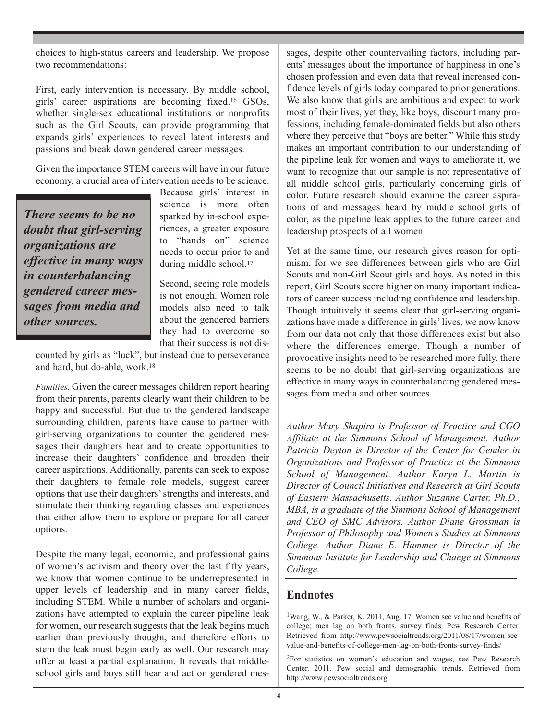choices to high-status careers and leadership. We propose two recommendations:

First, early intervention is necessary. By middle school, girls' career aspirations are becoming fixed.<sup>16</sup> GSOs, whether single-sex educational institutions or nonprofits such as the Girl Scouts, can provide programming that expands girls' experiences to reveal latent interests and passions and break down gendered career messages.

Given the importance STEM careers will have in our future economy, a crucial area of intervention needs to be science.

*There seems to be no doubt that girl-serving organizations are effective in many ways in counterbalancing gendered career messages from media and other sources.*

Because girls' interest in science is more often sparked by in-school experiences, a greater exposure to "hands on" science needs to occur prior to and during middle school.<sup>17</sup>

Second, seeing role models is not enough. Women role models also need to talk about the gendered barriers they had to overcome so that their success is not dis-

counted by girls as "luck", but instead due to perseverance and hard, but do-able, work.<sup>18</sup>

*Families.* Given the career messages children report hearing from their parents, parents clearly want their children to be happy and successful. But due to the gendered landscape surrounding children, parents have cause to partner with girl-serving organizations to counter the gendered messages their daughters hear and to create opportunities to increase their daughters' confidence and broaden their career aspirations. Additionally, parents can seek to expose their daughters to female role models, suggest career options that use their daughters' strengths and interests, and stimulate their thinking regarding classes and experiences that either allow them to explore or prepare for all career options.

Despite the many legal, economic, and professional gains of women's activism and theory over the last fifty years, we know that women continue to be underrepresented in upper levels of leadership and in many career fields, including STEM. While a number of scholars and organizations have attempted to explain the career pipeline leak for women, our research suggests that the leak begins much earlier than previously thought, and therefore efforts to stem the leak must begin early as well. Our research may offer at least a partial explanation. It reveals that middleschool girls and boys still hear and act on gendered messages, despite other countervailing factors, including parents' messages about the importance of happiness in one's chosen profession and even data that reveal increased confidence levels of girls today compared to prior generations. We also know that girls are ambitious and expect to work most of their lives, yet they, like boys, discount many professions, including female-dominated fields but also others where they perceive that "boys are better." While this study makes an important contribution to our understanding of the pipeline leak for women and ways to ameliorate it, we want to recognize that our sample is not representative of all middle school girls, particularly concerning girls of color. Future research should examine the career aspirations of and messages heard by middle school girls of color, as the pipeline leak applies to the future career and leadership prospects of all women.

Yet at the same time, our research gives reason for optimism, for we see differences between girls who are Girl Scouts and non-Girl Scout girls and boys. As noted in this report, Girl Scouts score higher on many important indicators of career success including confidence and leadership. Though intuitively it seems clear that girl-serving organizations have made a difference in girls' lives, we now know from our data not only that those differences exist but also where the differences emerge. Though a number of provocative insights need to be researched more fully, there seems to be no doubt that girl-serving organizations are effective in many ways in counterbalancing gendered messages from media and other sources.

*Author Mary Shapiro is Professor of Practice and CGO Affiliate at the Simmons School of Management. Author Patricia Deyton is Director of the Center for Gender in Organizations and Professor of Practice at the Simmons School of Management. Author Karyn L. Martin is Director of Council Initiatives and Research at Girl Scouts of Eastern Massachusetts. Author Suzanne Carter, Ph.D., MBA, is a graduate of the Simmons School of Management and CEO of SMC Advisors. Author Diane Grossman is Professor of Philosophy and Women's Studies at Simmons College. Author Diane E. Hammer is Director of the Simmons Institute for Leadership and Change at Simmons College.*

### **Endnotes**

<sup>1</sup>Wang, W., & Parker, K. 2011, Aug. 17. Women see value and benefits of college; men lag on both fronts, survey finds. Pew Research Center. Retrieved from http://www.pewsocialtrends.org/2011/08/17/women-seevalue-and-benefits-of-college-men-lag-on-both-fronts-survey-finds/

2For statistics on women's education and wages, see Pew Research Center. 2011. Pew social and demographic trends. Retrieved from http://www.pewsocialtrends.org